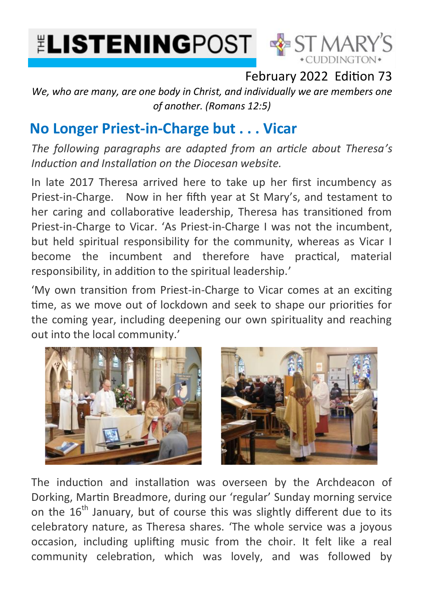



## February 2022 Edition 73

*We, who are many, are one body in Christ, and individually we are members one of another. (Romans 12:5)*

## **No Longer Priest-in-Charge but . . . Vicar**

*The following paragraphs are adapted from an article about Theresa's Induction and Installation on the Diocesan website.*

In late 2017 Theresa arrived here to take up her first incumbency as Priest-in-Charge. Now in her fifth year at St Mary's, and testament to her caring and collaborative leadership, Theresa has transitioned from Priest-in-Charge to Vicar. 'As Priest-in-Charge I was not the incumbent, but held spiritual responsibility for the community, whereas as Vicar I become the incumbent and therefore have practical, material responsibility, in addition to the spiritual leadership.'

'My own transition from Priest-in-Charge to Vicar comes at an exciting time, as we move out of lockdown and seek to shape our priorities for the coming year, including deepening our own spirituality and reaching out into the local community.'





The induction and installation was overseen by the Archdeacon of Dorking, Martin Breadmore, during our 'regular' Sunday morning service on the 16<sup>th</sup> January, but of course this was slightly different due to its celebratory nature, as Theresa shares. 'The whole service was a joyous occasion, including uplifting music from the choir. It felt like a real community celebration, which was lovely, and was followed by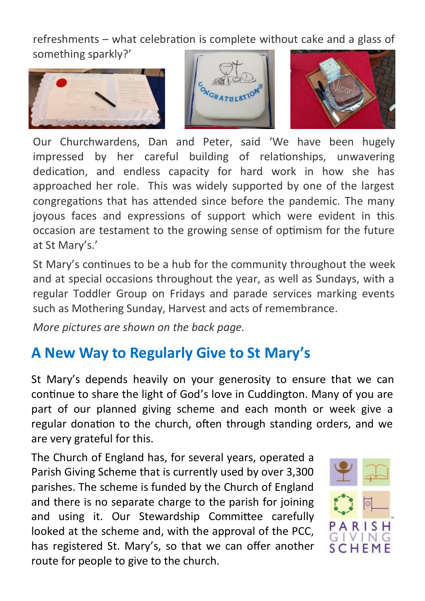refreshments – what celebration is complete without cake and a glass of something sparkly?'







Our Churchwardens, Dan and Peter, said 'We have been hugely impressed by her careful building of relationships, unwavering dedication, and endless capacity for hard work in how she has approached her role. This was widely supported by one of the largest congregations that has attended since before the pandemic. The many joyous faces and expressions of support which were evident in this occasion are testament to the growing sense of optimism for the future at St Mary's.'

St Mary's continues to be a hub for the community throughout the week and at special occasions throughout the year, as well as Sundays, with a regular Toddler Group on Fridays and parade services marking events such as Mothering Sunday, Harvest and acts of remembrance.

*More pictures are shown on the back page.*

## **A New Way to Regularly Give to St Mary's**

St Mary's depends heavily on your generosity to ensure that we can continue to share the light of God's love in Cuddington. Many of you are part of our planned giving scheme and each month or week give a regular donation to the church, often through standing orders, and we are very grateful for this.

The Church of England has, for several years, operated a Parish Giving Scheme that is currently used by over 3,300 parishes. The scheme is funded by the Church of England and there is no separate charge to the parish for joining and using it. Our Stewardship Committee carefully looked at the scheme and, with the approval of the PCC, has registered St. Mary's, so that we can offer another route for people to give to the church.

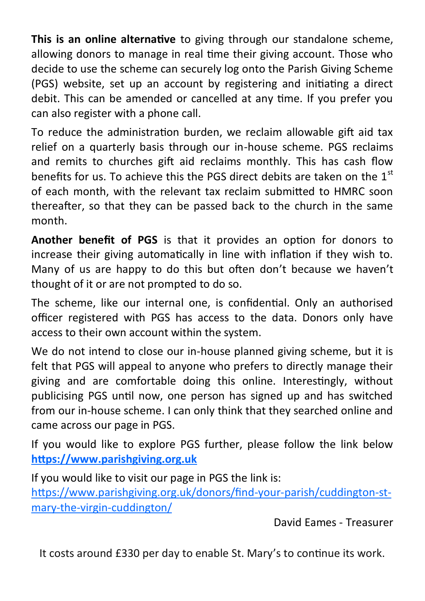**This is an online alternative** to giving through our standalone scheme, allowing donors to manage in real time their giving account. Those who decide to use the scheme can securely log onto the Parish Giving Scheme (PGS) website, set up an account by registering and initiating a direct debit. This can be amended or cancelled at any time. If you prefer you can also register with a phone call.

To reduce the administration burden, we reclaim allowable gift aid tax relief on a quarterly basis through our in-house scheme. PGS reclaims and remits to churches gift aid reclaims monthly. This has cash flow benefits for us. To achieve this the PGS direct debits are taken on the  $1<sup>st</sup>$ of each month, with the relevant tax reclaim submitted to HMRC soon thereafter, so that they can be passed back to the church in the same month.

**Another benefit of PGS** is that it provides an option for donors to increase their giving automatically in line with inflation if they wish to. Many of us are happy to do this but often don't because we haven't thought of it or are not prompted to do so.

The scheme, like our internal one, is confidential. Only an authorised officer registered with PGS has access to the data. Donors only have access to their own account within the system.

We do not intend to close our in-house planned giving scheme, but it is felt that PGS will appeal to anyone who prefers to directly manage their giving and are comfortable doing this online. Interestingly, without publicising PGS until now, one person has signed up and has switched from our in-house scheme. I can only think that they searched online and came across our page in PGS.

If you would like to explore PGS further, please follow the link below **<https://www.parishgiving.org.uk>**

If you would like to visit our page in PGS the link is:

[https://www.parishgiving.org.uk/donors/find](https://www.parishgiving.org.uk/donors/find-your-parish/cuddington-st-mary-the-virgin-cuddington/)-your-parish/cuddington-stmary-the-virgin-[cuddington/](https://www.parishgiving.org.uk/donors/find-your-parish/cuddington-st-mary-the-virgin-cuddington/)

David Eames - Treasurer

It costs around £330 per day to enable St. Mary's to continue its work.